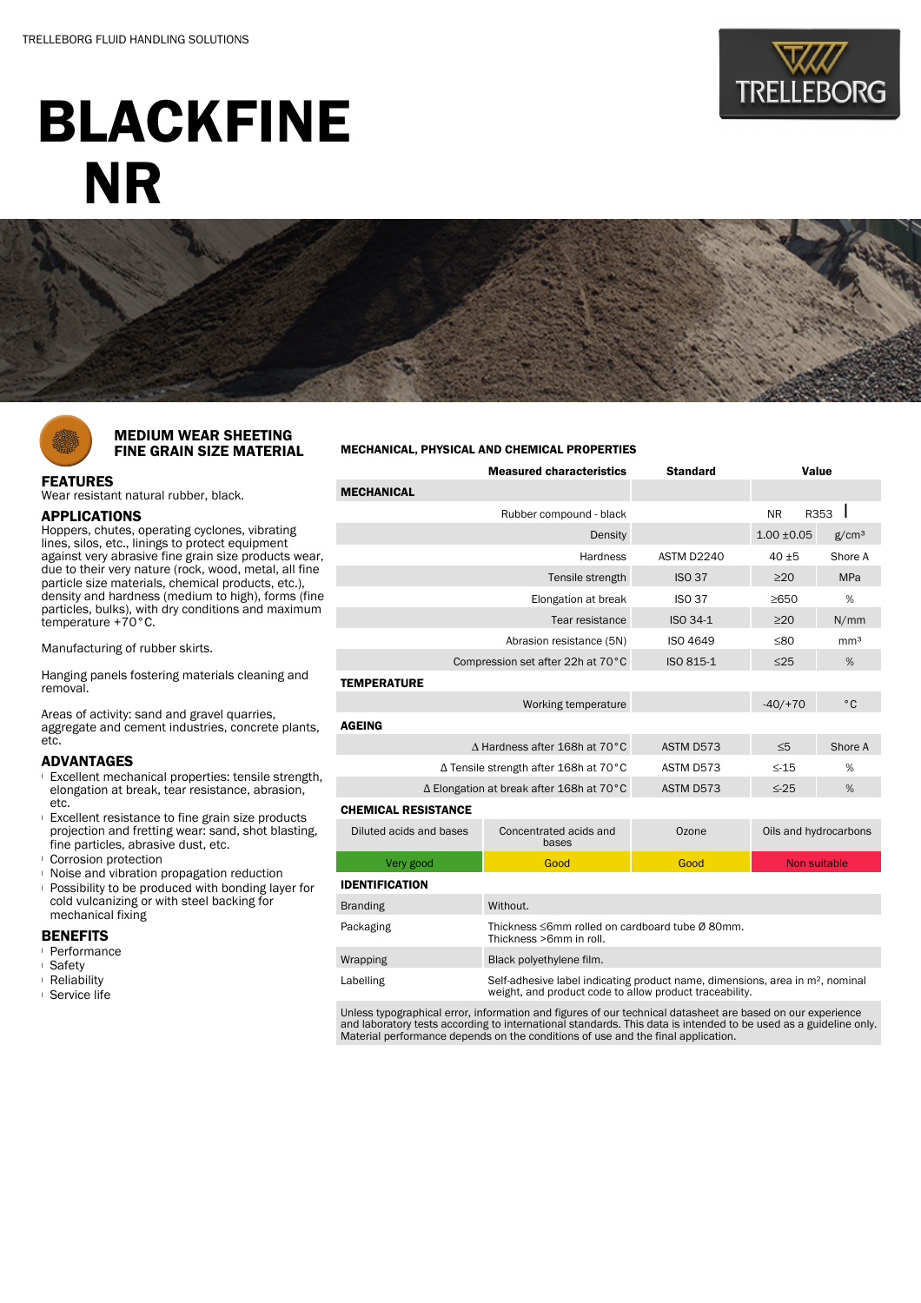

# BLACKFINE NR



### MEDIUM WEAR SHEETING FINE GRAIN SIZE MATERIAL

## FEATURES

Wear resistant natural rubber, black.

#### APPLICATIONS

Hoppers, chutes, operating cyclones, vibrating lines, silos, etc., linings to protect equipment against very abrasive fine grain size products wear. due to their very nature (rock, wood, metal, all fine particle size materials, chemical products, etc.), density and hardness (medium to high), forms (fine particles, bulks), with dry conditions and maximum temperature +70°C.

Manufacturing of rubber skirts.

Hanging panels fostering materials cleaning and removal.

Areas of activity: sand and gravel quarries, aggregate and cement industries, concrete plants, etc.

#### ADVANTAGES

- <sup>l</sup> Excellent mechanical properties: tensile strength, elongation at break, tear resistance, abrasion, etc.
- <sup>l</sup> Excellent resistance to fine grain size products projection and fretting wear: sand, shot blasting, fine particles, abrasive dust, etc.
- <sup>l</sup> Corrosion protection
- <sup>l</sup> Noise and vibration propagation reduction
- **Possibility to be produced with bonding layer for** cold vulcanizing or with steel backing for mechanical fixing

#### BENEFITS

- <sup>l</sup> Performance
- <sup>l</sup> Safety
- <sup>l</sup> Reliability
- <sup>l</sup> Service life

#### MECHANICAL, PHYSICAL AND CHEMICAL PROPERTIES

| <b>Measured characteristics</b>          |                                                                                                                                                      | <b>Standard</b> | Value                 |                   |  |  |  |
|------------------------------------------|------------------------------------------------------------------------------------------------------------------------------------------------------|-----------------|-----------------------|-------------------|--|--|--|
| <b>MECHANICAL</b>                        |                                                                                                                                                      |                 |                       |                   |  |  |  |
|                                          | Rubber compound - black                                                                                                                              |                 | <b>NR</b>             | R353              |  |  |  |
| Density                                  |                                                                                                                                                      |                 | $1.00 + 0.05$         | g/cm <sup>3</sup> |  |  |  |
|                                          | ASTM D2240                                                                                                                                           | $40 + 5$        | Shore A               |                   |  |  |  |
|                                          | <b>ISO 37</b>                                                                                                                                        | $\geq$ 20       | <b>MPa</b>            |                   |  |  |  |
|                                          | <b>ISO 37</b>                                                                                                                                        | ≥650            | %                     |                   |  |  |  |
|                                          | ISO 34-1                                                                                                                                             | $\geq$ 20       | N/mm                  |                   |  |  |  |
|                                          | <b>ISO 4649</b>                                                                                                                                      | $\leq 80$       | mm <sup>3</sup>       |                   |  |  |  |
| Compression set after 22h at 70°C        | ISO 815-1                                                                                                                                            | $\leq$ 25       | %                     |                   |  |  |  |
| <b>TEMPERATURE</b>                       |                                                                                                                                                      |                 |                       |                   |  |  |  |
|                                          |                                                                                                                                                      | $-40/+70$       | $^{\circ}$ C          |                   |  |  |  |
| <b>AGEING</b>                            |                                                                                                                                                      |                 |                       |                   |  |  |  |
| ∆ Hardness after 168h at 70°C            | ASTM D573                                                                                                                                            | $\leq 5$        | Shore A               |                   |  |  |  |
| ∆ Tensile strength after 168h at 70°C    | ASTM D573                                                                                                                                            | $\leq$ -15      | %                     |                   |  |  |  |
| ∆ Elongation at break after 168h at 70°C | ASTM D573                                                                                                                                            | $\leq$ -25      | %                     |                   |  |  |  |
| <b>CHEMICAL RESISTANCE</b>               |                                                                                                                                                      |                 |                       |                   |  |  |  |
| Diluted acids and bases                  | Concentrated acids and<br>bases                                                                                                                      | Ozone           | Oils and hydrocarbons |                   |  |  |  |
| Very good                                | Good                                                                                                                                                 | Good            | Non suitable          |                   |  |  |  |
| <b>IDENTIFICATION</b>                    |                                                                                                                                                      |                 |                       |                   |  |  |  |
| <b>Branding</b>                          | Without.                                                                                                                                             |                 |                       |                   |  |  |  |
| Packaging                                | Thickness ≤6mm rolled on cardboard tube Ø 80mm.<br>Thickness >6mm in roll.                                                                           |                 |                       |                   |  |  |  |
| Wrapping                                 | Black polyethylene film.                                                                                                                             |                 |                       |                   |  |  |  |
| Labelling                                | Self-adhesive label indicating product name, dimensions, area in m <sup>2</sup> , nominal<br>weight, and product code to allow product traceability. |                 |                       |                   |  |  |  |

Unless typographical error, information and figures of our technical datasheet are based on our experience and laboratory tests according to international standards. This data is intended to be used as a guideline only. Material performance depends on the conditions of use and the final application.